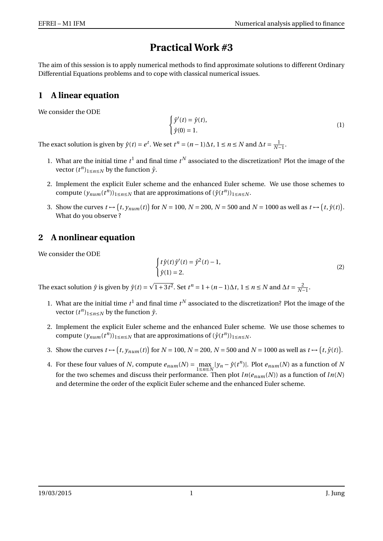## **Practical Work #3**

The aim of this session is to apply numerical methods to find approximate solutions to different Ordinary Differential Equations problems and to cope with classical numerical issues.

## **1 A linear equation**

We consider the ODE

$$
\begin{cases} \hat{y}'(t) = \hat{y}(t), \\ \hat{y}(0) = 1. \end{cases}
$$
 (1)

The exact solution is given by  $\hat{y}(t) = e^t$ . We set  $t^n = (n-1)\Delta t$ ,  $1 \le n \le N$  and  $\Delta t = \frac{1}{N-1}$ .

- 1. What are the initial time  $t^1$  and final time  $t^N$  associated to the discretization? Plot the image of the vector  $(t^n)_{1 \le n \le N}$  by the function  $\hat{y}$ .
- 2. Implement the explicit Euler scheme and the enhanced Euler scheme. We use those schemes to compute  $(y_{num}(t^n))_{1 \le n \le N}$  that are approximations of  $(\hat{y}(t^n))_{1 \le n \le N}$ .
- 3. Show the curves  $t \mapsto (t, y_{num}(t))$  for  $N = 100$ ,  $N = 200$ ,  $N = 500$  and  $N = 1000$  as well as  $t \mapsto (t, \hat{y}(t))$ . What do you observe ?

## **2 A nonlinear equation**

We consider the ODE

$$
\begin{cases} t\hat{y}(t)\hat{y}'(t) = \hat{y}^{2}(t) - 1, \\ \hat{y}(1) = 2. \end{cases}
$$
 (2)

The exact solution  $\hat{y}$  is given by  $\hat{y}(t)$  =  $1+3t^2$ . Set  $t^n = 1 + (n-1)\Delta t$ , 1 ≤ *n* ≤ *N* and  $\Delta t = \frac{2}{N-1}$ .

- 1. What are the initial time  $t^1$  and final time  $t^N$  associated to the discretization? Plot the image of the vector  $(t^n)_{1 \le n \le N}$  by the function  $\hat{y}$ .
- 2. Implement the explicit Euler scheme and the enhanced Euler scheme. We use those schemes to compute  $(y_{num}(t^n))_{1 \le n \le N}$  that are approximations of  $(\hat{y}(t^n))_{1 \le n \le N}$ .
- 3. Show the curves  $t \mapsto (t, y_{num}(t))$  for  $N = 100$ ,  $N = 200$ ,  $N = 500$  and  $N = 1000$  as well as  $t \mapsto (t, \hat{y}(t))$ .
- 4. For these four values of *N*, compute  $e_{num}(N) = \max_{1 \le n \le N} |y_n \hat{y}(t^n)|$ . Plot  $e_{num}(N)$  as a function of *N* for the two schemes and discuss their performance. Then plot  $ln(e_{num}(N))$  as a function of  $ln(N)$ and determine the order of the explicit Euler scheme and the enhanced Euler scheme.